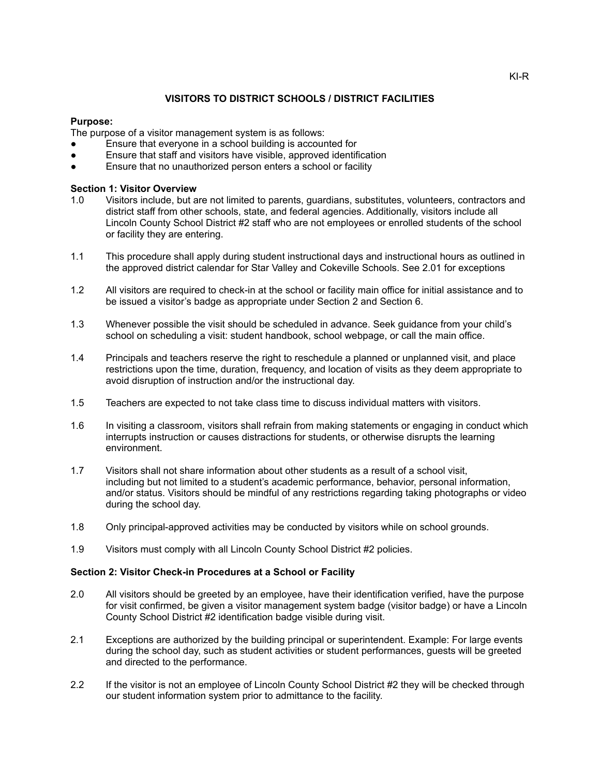## **VISITORS TO DISTRICT SCHOOLS / DISTRICT FACILITIES**

# **Purpose:**

The purpose of a visitor management system is as follows:

- Ensure that everyone in a school building is accounted for
- Ensure that staff and visitors have visible, approved identification
- Ensure that no unauthorized person enters a school or facility

### **Section 1: Visitor Overview**

- 1.0 Visitors include, but are not limited to parents, guardians, substitutes, volunteers, contractors and district staff from other schools, state, and federal agencies. Additionally, visitors include all Lincoln County School District #2 staff who are not employees or enrolled students of the school or facility they are entering.
- 1.1 This procedure shall apply during student instructional days and instructional hours as outlined in the approved district calendar for Star Valley and Cokeville Schools. See 2.01 for exceptions
- 1.2 All visitors are required to check-in at the school or facility main office for initial assistance and to be issued a visitor's badge as appropriate under Section 2 and Section 6.
- 1.3 Whenever possible the visit should be scheduled in advance. Seek guidance from your child's school on scheduling a visit: student handbook, school webpage, or call the main office.
- 1.4 Principals and teachers reserve the right to reschedule a planned or unplanned visit, and place restrictions upon the time, duration, frequency, and location of visits as they deem appropriate to avoid disruption of instruction and/or the instructional day.
- 1.5 Teachers are expected to not take class time to discuss individual matters with visitors.
- 1.6 In visiting a classroom, visitors shall refrain from making statements or engaging in conduct which interrupts instruction or causes distractions for students, or otherwise disrupts the learning environment.
- 1.7 Visitors shall not share information about other students as a result of a school visit, including but not limited to a student's academic performance, behavior, personal information, and/or status. Visitors should be mindful of any restrictions regarding taking photographs or video during the school day.
- 1.8 Only principal-approved activities may be conducted by visitors while on school grounds.
- 1.9 Visitors must comply with all Lincoln County School District #2 policies.

#### **Section 2: Visitor Check-in Procedures at a School or Facility**

- 2.0 All visitors should be greeted by an employee, have their identification verified, have the purpose for visit confirmed, be given a visitor management system badge (visitor badge) or have a Lincoln County School District #2 identification badge visible during visit.
- 2.1 Exceptions are authorized by the building principal or superintendent. Example: For large events during the school day, such as student activities or student performances, guests will be greeted and directed to the performance.
- 2.2 If the visitor is not an employee of Lincoln County School District #2 they will be checked through our student information system prior to admittance to the facility.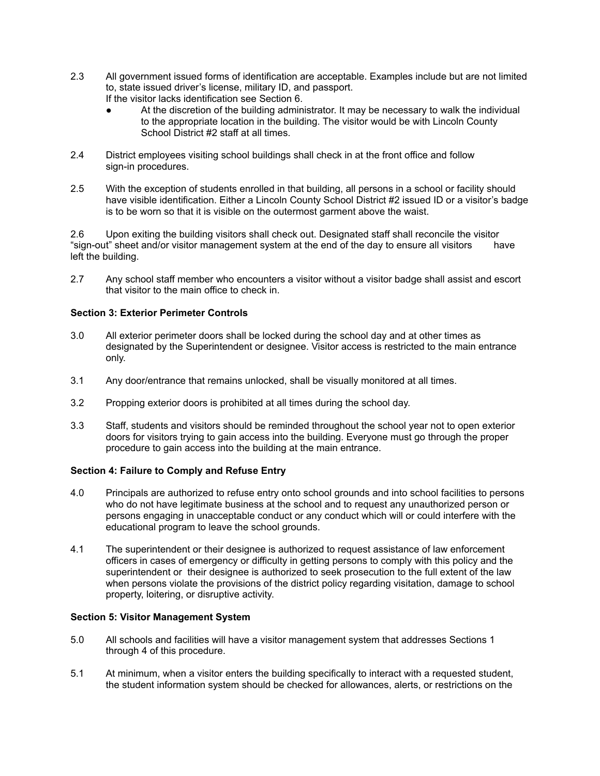- 2.3 All government issued forms of identification are acceptable. Examples include but are not limited to, state issued driver's license, military ID, and passport. If the visitor lacks identification see Section 6.
	- At the discretion of the building administrator. It may be necessary to walk the individual to the appropriate location in the building. The visitor would be with Lincoln County School District #2 staff at all times.
- 2.4 District employees visiting school buildings shall check in at the front office and follow sign-in procedures.
- 2.5 With the exception of students enrolled in that building, all persons in a school or facility should have visible identification. Either a Lincoln County School District #2 issued ID or a visitor's badge is to be worn so that it is visible on the outermost garment above the waist.

2.6 Upon exiting the building visitors shall check out. Designated staff shall reconcile the visitor "sign-out" sheet and/or visitor management system at the end of the day to ensure all visitors have left the building.

2.7 Any school staff member who encounters a visitor without a visitor badge shall assist and escort that visitor to the main office to check in.

## **Section 3: Exterior Perimeter Controls**

- 3.0 All exterior perimeter doors shall be locked during the school day and at other times as designated by the Superintendent or designee. Visitor access is restricted to the main entrance only.
- 3.1 Any door/entrance that remains unlocked, shall be visually monitored at all times.
- 3.2 Propping exterior doors is prohibited at all times during the school day.
- 3.3 Staff, students and visitors should be reminded throughout the school year not to open exterior doors for visitors trying to gain access into the building. Everyone must go through the proper procedure to gain access into the building at the main entrance.

#### **Section 4: Failure to Comply and Refuse Entry**

- 4.0 Principals are authorized to refuse entry onto school grounds and into school facilities to persons who do not have legitimate business at the school and to request any unauthorized person or persons engaging in unacceptable conduct or any conduct which will or could interfere with the educational program to leave the school grounds.
- 4.1 The superintendent or their designee is authorized to request assistance of law enforcement officers in cases of emergency or difficulty in getting persons to comply with this policy and the superintendent or their designee is authorized to seek prosecution to the full extent of the law when persons violate the provisions of the district policy regarding visitation, damage to school property, loitering, or disruptive activity.

#### **Section 5: Visitor Management System**

- 5.0 All schools and facilities will have a visitor management system that addresses Sections 1 through 4 of this procedure.
- 5.1 At minimum, when a visitor enters the building specifically to interact with a requested student, the student information system should be checked for allowances, alerts, or restrictions on the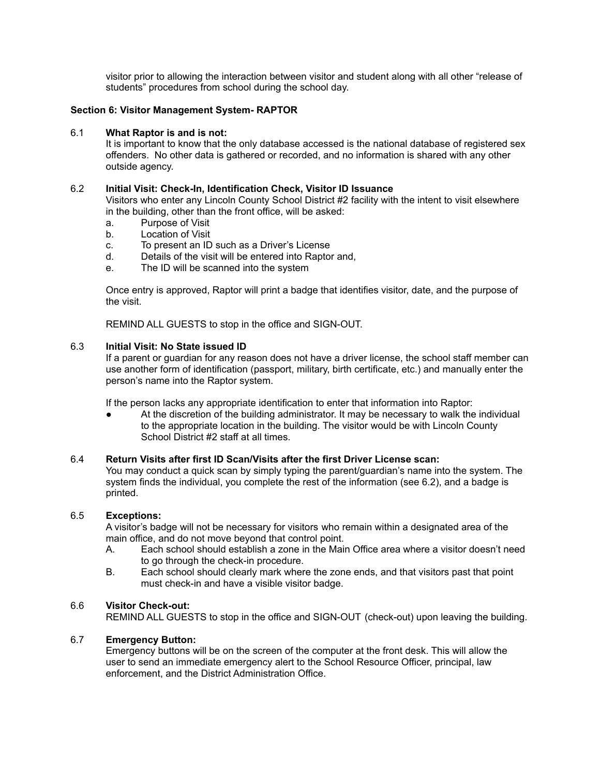visitor prior to allowing the interaction between visitor and student along with all other "release of students" procedures from school during the school day.

#### **Section 6: Visitor Management System- RAPTOR**

#### 6.1 **What Raptor is and is not:**

It is important to know that the only database accessed is the national database of registered sex offenders. No other data is gathered or recorded, and no information is shared with any other outside agency.

#### 6.2 **Initial Visit: Check-In, Identification Check, Visitor ID Issuance**

Visitors who enter any Lincoln County School District #2 facility with the intent to visit elsewhere in the building, other than the front office, will be asked:

- a. Purpose of Visit
- b. Location of Visit
- c. To present an ID such as a Driver's License
- d. Details of the visit will be entered into Raptor and,
- e. The ID will be scanned into the system

Once entry is approved, Raptor will print a badge that identifies visitor, date, and the purpose of the visit.

REMIND ALL GUESTS to stop in the office and SIGN-OUT.

#### 6.3 **Initial Visit: No State issued ID**

If a parent or guardian for any reason does not have a driver license, the school staff member can use another form of identification (passport, military, birth certificate, etc.) and manually enter the person's name into the Raptor system.

If the person lacks any appropriate identification to enter that information into Raptor:

At the discretion of the building administrator. It may be necessary to walk the individual to the appropriate location in the building. The visitor would be with Lincoln County School District #2 staff at all times.

### 6.4 **Return Visits after first ID Scan/Visits after the first Driver License scan:**

You may conduct a quick scan by simply typing the parent/guardian's name into the system. The system finds the individual, you complete the rest of the information (see 6.2), and a badge is printed.

#### 6.5 **Exceptions:**

A visitor's badge will not be necessary for visitors who remain within a designated area of the main office, and do not move beyond that control point.

- A. Each school should establish a zone in the Main Office area where a visitor doesn't need to go through the check-in procedure.
- B. Each school should clearly mark where the zone ends, and that visitors past that point must check-in and have a visible visitor badge.

#### 6.6 **Visitor Check-out:**

REMIND ALL GUESTS to stop in the office and SIGN-OUT (check-out) upon leaving the building.

#### 6.7 **Emergency Button:**

Emergency buttons will be on the screen of the computer at the front desk. This will allow the user to send an immediate emergency alert to the School Resource Officer, principal, law enforcement, and the District Administration Office.